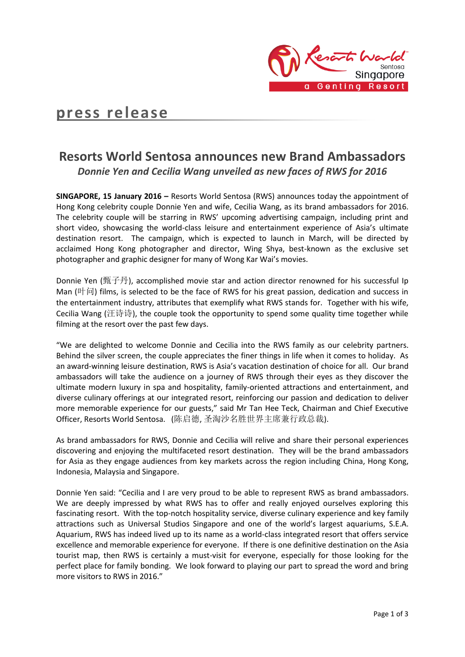

# **press release**

# **Resorts World Sentosa announces new Brand Ambassadors** *Donnie Yen and Cecilia Wang unveiled as new faces of RWS for 2016*

**SINGAPORE, 15 January 2016 –** Resorts World Sentosa (RWS) announces today the appointment of Hong Kong celebrity couple Donnie Yen and wife, Cecilia Wang, as its brand ambassadors for 2016. The celebrity couple will be starring in RWS' upcoming advertising campaign, including print and short video, showcasing the world-class leisure and entertainment experience of Asia's ultimate destination resort. The campaign, which is expected to launch in March, will be directed by acclaimed Hong Kong photographer and director, Wing Shya, best-known as the exclusive set photographer and graphic designer for many of Wong Kar Wai's movies.

Donnie Yen (甄子丹), accomplished movie star and action director renowned for his successful Ip Man  $(\mathbb{H} \mid \vec{I})$  films, is selected to be the face of RWS for his great passion, dedication and success in the entertainment industry, attributes that exemplify what RWS stands for. Together with his wife, Cecilia Wang (汪诗诗), the couple took the opportunity to spend some quality time together while filming at the resort over the past few days.

"We are delighted to welcome Donnie and Cecilia into the RWS family as our celebrity partners. Behind the silver screen, the couple appreciates the finer things in life when it comes to holiday. As an award-winning leisure destination, RWS is Asia's vacation destination of choice for all. Our brand ambassadors will take the audience on a journey of RWS through their eyes as they discover the ultimate modern luxury in spa and hospitality, family-oriented attractions and entertainment, and diverse culinary offerings at our integrated resort, reinforcing our passion and dedication to deliver more memorable experience for our guests," said Mr Tan Hee Teck, Chairman and Chief Executive Officer, Resorts World Sentosa. (陈启德, 圣淘沙名胜世界主席兼行政总裁).

As brand ambassadors for RWS, Donnie and Cecilia will relive and share their personal experiences discovering and enjoying the multifaceted resort destination. They will be the brand ambassadors for Asia as they engage audiences from key markets across the region including China, Hong Kong, Indonesia, Malaysia and Singapore.

Donnie Yen said: "Cecilia and I are very proud to be able to represent RWS as brand ambassadors. We are deeply impressed by what RWS has to offer and really enjoyed ourselves exploring this fascinating resort. With the top-notch hospitality service, diverse culinary experience and key family attractions such as Universal Studios Singapore and one of the world's largest aquariums, S.E.A. Aquarium, RWS has indeed lived up to its name as a world-class integrated resort that offers service excellence and memorable experience for everyone. If there is one definitive destination on the Asia tourist map, then RWS is certainly a must-visit for everyone, especially for those looking for the perfect place for family bonding. We look forward to playing our part to spread the word and bring more visitors to RWS in 2016."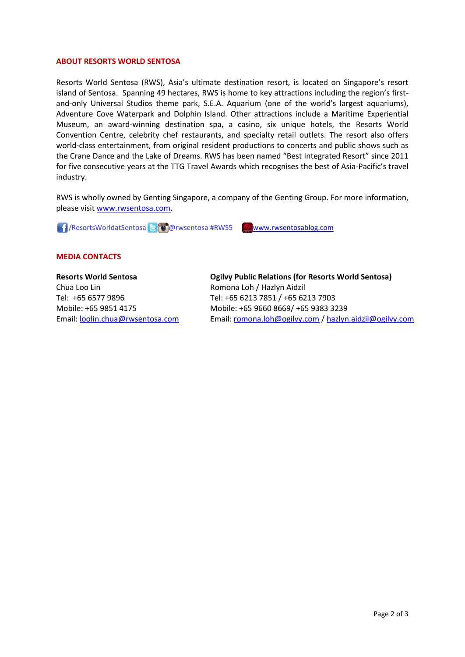### **ABOUT RESORTS WORLD SENTOSA**

Resorts World Sentosa (RWS), Asia's ultimate destination resort, is located on Singapore's resort island of Sentosa. Spanning 49 hectares, RWS is home to key attractions including the region's firstand-only Universal Studios theme park, S.E.A. Aquarium (one of the world's largest aquariums), Adventure Cove Waterpark and Dolphin Island. Other attractions include a Maritime Experiential Museum, an award-winning destination spa, a casino, six unique hotels, the Resorts World Convention Centre, celebrity chef restaurants, and specialty retail outlets. The resort also offers world-class entertainment, from original resident productions to concerts and public shows such as the Crane Dance and the Lake of Dreams. RWS has been named "Best Integrated Resort" since 2011 for five consecutive years at the TTG Travel Awards which recognises the best of Asia-Pacific's travel industry.

RWS is wholly owned by Genting Singapore, a company of the Genting Group. For more information, please visit [www.rwsentosa.com.](http://www.rwsentosa.com/)

1 / ResortsWorldatSentosa & **@** @ rwsentosa #RWS5 [www.rwsentosablog.com](http://www.rwsentosablog.com/)

# **MEDIA CONTACTS**

### **Resorts World Sentosa**

Chua Loo Lin Tel: +65 6577 9896 Mobile: +65 9851 4175 Email: [loolin.chua@rwsentosa.com](mailto:loolin.chua@rwsentosa.com) **Ogilvy Public Relations (for Resorts World Sentosa)** Romona Loh / Hazlyn Aidzil Tel: +65 6213 7851 / +65 6213 7903 Mobile: +65 9660 8669/ +65 9383 3239 Email: [romona.loh@ogilvy.com](mailto:romona.loh@ogilvy.com) [/ hazlyn.aidzil@ogilvy.com](mailto:hazlyn.aidzil@ogilvy.com)